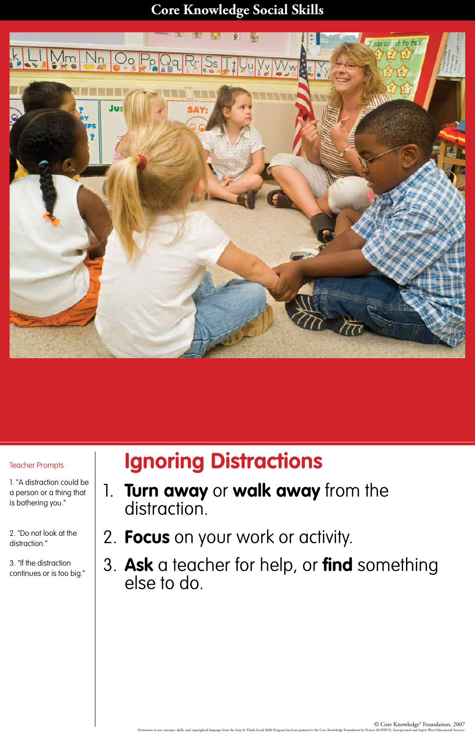## **Core Knowledge Social Skills**

### © Core Knowledge® Foundation, 2007 Permission to use concepts, skills, and copyrighted language from the Stop & Think Social Skills Program has been granted to the Core Knowledge Foundation by Project ACHIEVE, Incorporated and Sopris West Educational Servic



# **Ignoring Distractions**

- 1. **Turn away** or **walk away** from the distraction.
- 2. **Focus** on your work or activity.

distraction.

3. **Ask** a teacher for help, or **find** something else to do.

## Teacher Prompts

1. "A distraction could be a person or a thing that is bothering you."

2. "Do not look at the

3. "If the distraction continues or is too big."